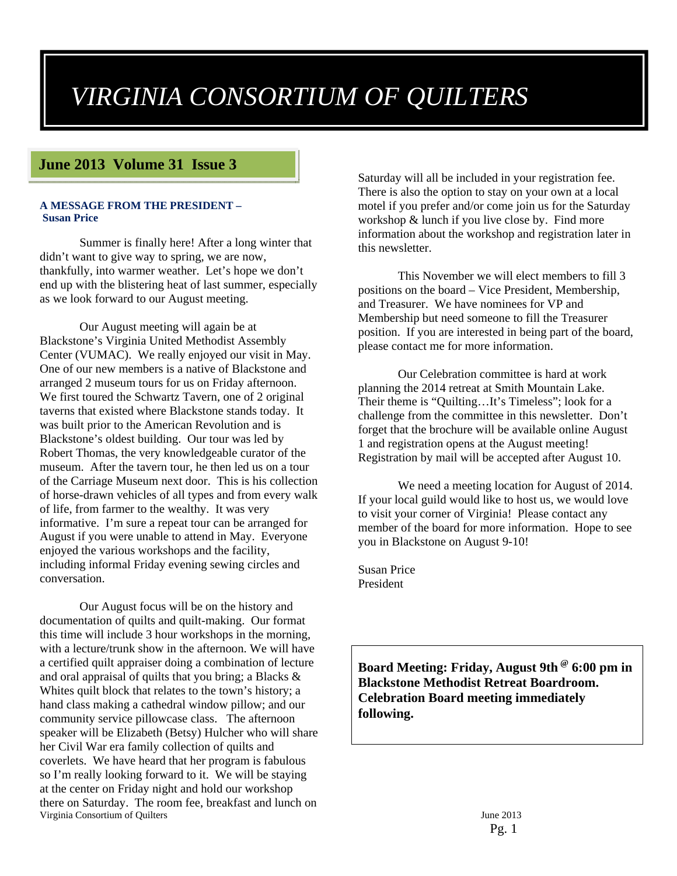# *VIRGINIA CONSORTIUM OF QUILTERS*

### **June 2013 Volume 31 Issue 3**

#### **A MESSAGE FROM THE PRESIDENT – Susan Price**

Summer is finally here! After a long winter that didn't want to give way to spring, we are now, thankfully, into warmer weather. Let's hope we don't end up with the blistering heat of last summer, especially as we look forward to our August meeting.

Our August meeting will again be at Blackstone's Virginia United Methodist Assembly Center (VUMAC). We really enjoyed our visit in May. One of our new members is a native of Blackstone and arranged 2 museum tours for us on Friday afternoon. We first toured the Schwartz Tavern, one of 2 original taverns that existed where Blackstone stands today. It was built prior to the American Revolution and is Blackstone's oldest building. Our tour was led by Robert Thomas, the very knowledgeable curator of the museum. After the tavern tour, he then led us on a tour of the Carriage Museum next door. This is his collection of horse-drawn vehicles of all types and from every walk of life, from farmer to the wealthy. It was very informative. I'm sure a repeat tour can be arranged for August if you were unable to attend in May. Everyone enjoyed the various workshops and the facility, including informal Friday evening sewing circles and conversation.

Virginia Consortium of Quilters June 2013 Our August focus will be on the history and documentation of quilts and quilt-making. Our format this time will include 3 hour workshops in the morning, with a lecture/trunk show in the afternoon. We will have a certified quilt appraiser doing a combination of lecture and oral appraisal of quilts that you bring; a Blacks & Whites quilt block that relates to the town's history; a hand class making a cathedral window pillow; and our community service pillowcase class. The afternoon speaker will be Elizabeth (Betsy) Hulcher who will share her Civil War era family collection of quilts and coverlets. We have heard that her program is fabulous so I'm really looking forward to it. We will be staying at the center on Friday night and hold our workshop there on Saturday. The room fee, breakfast and lunch on

Saturday will all be included in your registration fee. There is also the option to stay on your own at a local motel if you prefer and/or come join us for the Saturday workshop & lunch if you live close by. Find more information about the workshop and registration later in this newsletter.

This November we will elect members to fill 3 positions on the board – Vice President, Membership, and Treasurer. We have nominees for VP and Membership but need someone to fill the Treasurer position. If you are interested in being part of the board, please contact me for more information.

Our Celebration committee is hard at work planning the 2014 retreat at Smith Mountain Lake. Their theme is "Quilting…It's Timeless"; look for a challenge from the committee in this newsletter. Don't forget that the brochure will be available online August 1 and registration opens at the August meeting! Registration by mail will be accepted after August 10.

We need a meeting location for August of 2014. If your local guild would like to host us, we would love to visit your corner of Virginia! Please contact any member of the board for more information. Hope to see you in Blackstone on August 9-10!

Susan Price President

**Board Meeting: Friday, August 9th @ 6:00 pm in Blackstone Methodist Retreat Boardroom. Celebration Board meeting immediately following.**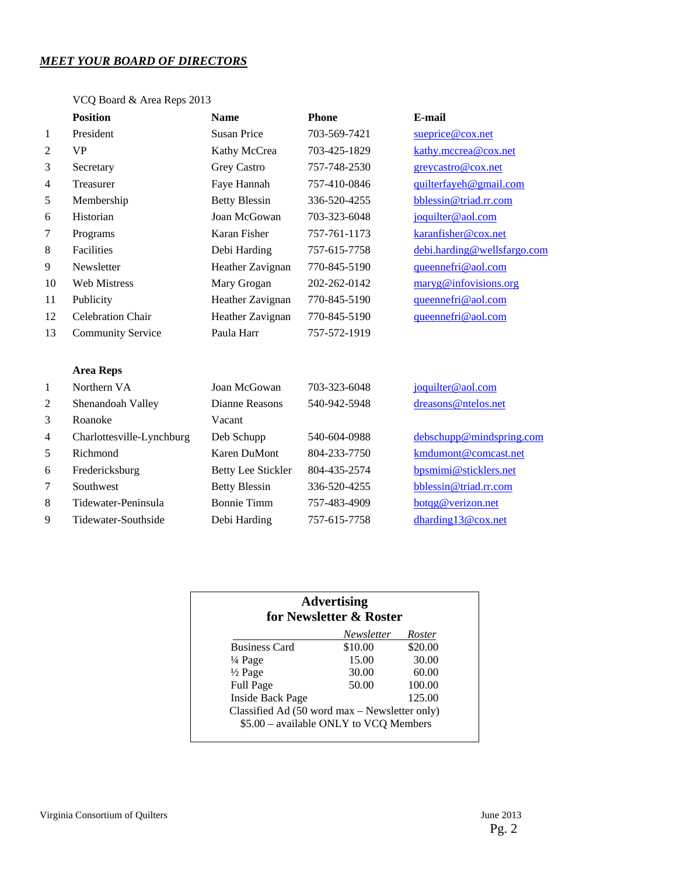### *MEET YOUR BOARD OF DIRECTORS*

### VCQ Board & Area Reps 2013

|                | <b>Position</b>           | <b>Name</b>               | <b>Phone</b> | E-mail                      |
|----------------|---------------------------|---------------------------|--------------|-----------------------------|
| 1              | President                 | <b>Susan Price</b>        | 703-569-7421 | sueprice@cox.net            |
| 2              | <b>VP</b>                 | Kathy McCrea              | 703-425-1829 | kathy.mccrea@cox.net        |
| 3              | Secretary                 | Grey Castro               | 757-748-2530 | greycastro@cox.net          |
| $\overline{4}$ | Treasurer                 | Faye Hannah               | 757-410-0846 | quilterfayeh@gmail.com      |
| 5              | Membership                | <b>Betty Blessin</b>      | 336-520-4255 | bblessin@triad.rr.com       |
| 6              | Historian                 | Joan McGowan              | 703-323-6048 | joquilter@aol.com           |
| 7              | Programs                  | Karan Fisher              | 757-761-1173 | karanfisher@cox.net         |
| 8              | Facilities                | Debi Harding              | 757-615-7758 | debi.harding@wellsfargo.com |
| 9              | Newsletter                | Heather Zavignan          | 770-845-5190 | queennefri@aol.com          |
| 10             | <b>Web Mistress</b>       | Mary Grogan               | 202-262-0142 | maryg@infovisions.org       |
| 11             | Publicity                 | Heather Zavignan          | 770-845-5190 | queennefri@aol.com          |
| 12             | <b>Celebration Chair</b>  | Heather Zavignan          | 770-845-5190 | queennefri@aol.com          |
| 13             | <b>Community Service</b>  | Paula Harr                | 757-572-1919 |                             |
|                | <b>Area Reps</b>          |                           |              |                             |
| 1              | Northern VA               | Joan McGowan              | 703-323-6048 | joquilter@aol.com           |
| 2              | Shenandoah Valley         | Dianne Reasons            | 540-942-5948 | dreasons@ntelos.net         |
| 3              | Roanoke                   | Vacant                    |              |                             |
| 4              | Charlottesville-Lynchburg | Deb Schupp                | 540-604-0988 | debschupp@mindspring.com    |
| 5              | Richmond                  | <b>Karen DuMont</b>       | 804-233-7750 | kmdumont@comcast.net        |
| 6              | Fredericksburg            | <b>Betty Lee Stickler</b> | 804-435-2574 | bpsmimi@sticklers.net       |
| 7              | Southwest                 | <b>Betty Blessin</b>      | 336-520-4255 | bblessin@triad.rr.com       |
| 8              | Tidewater-Peninsula       | <b>Bonnie Timm</b>        | 757-483-4909 | botqg@verizon.net           |
| 9              | Tidewater-Southside       | Debi Harding              | 757-615-7758 | dharding13@cox.net          |

| <b>Advertising</b><br>for Newsletter & Roster                                           |            |         |  |
|-----------------------------------------------------------------------------------------|------------|---------|--|
|                                                                                         | Newsletter | Roster  |  |
| <b>Business Card</b>                                                                    | \$10.00    | \$20.00 |  |
| $\frac{1}{4}$ Page                                                                      | 15.00      | 30.00   |  |
| $\frac{1}{2}$ Page                                                                      | 30.00      | 60.00   |  |
| <b>Full Page</b>                                                                        | 50.00      | 100.00  |  |
| <b>Inside Back Page</b>                                                                 |            | 125.00  |  |
| Classified Ad (50 word max – Newsletter only)<br>\$5.00 - available ONLY to VCQ Members |            |         |  |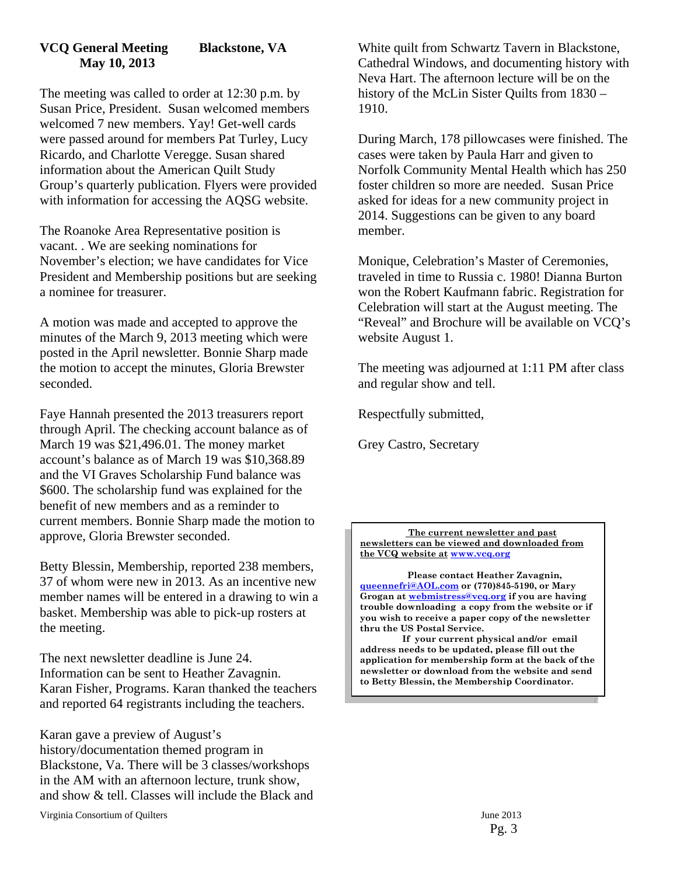### **VCQ General Meeting Blackstone, VA May 10, 2013**

The meeting was called to order at 12:30 p.m. by Susan Price, President. Susan welcomed members welcomed 7 new members. Yay! Get-well cards were passed around for members Pat Turley, Lucy Ricardo, and Charlotte Veregge. Susan shared information about the American Quilt Study Group's quarterly publication. Flyers were provided with information for accessing the AQSG website.

The Roanoke Area Representative position is vacant. . We are seeking nominations for November's election; we have candidates for Vice President and Membership positions but are seeking a nominee for treasurer.

A motion was made and accepted to approve the minutes of the March 9, 2013 meeting which were posted in the April newsletter. Bonnie Sharp made the motion to accept the minutes, Gloria Brewster seconded.

Faye Hannah presented the 2013 treasurers report through April. The checking account balance as of March 19 was \$21,496.01. The money market account's balance as of March 19 was \$10,368.89 and the VI Graves Scholarship Fund balance was \$600. The scholarship fund was explained for the benefit of new members and as a reminder to current members. Bonnie Sharp made the motion to approve, Gloria Brewster seconded.

Betty Blessin, Membership, reported 238 members, 37 of whom were new in 2013. As an incentive new member names will be entered in a drawing to win a basket. Membership was able to pick-up rosters at the meeting.

The next newsletter deadline is June 24. Information can be sent to Heather Zavagnin. Karan Fisher, Programs. Karan thanked the teachers and reported 64 registrants including the teachers.

Karan gave a preview of August's history/documentation themed program in Blackstone, Va. There will be 3 classes/workshops in the AM with an afternoon lecture, trunk show, and show & tell. Classes will include the Black and

Virginia Consortium of Quilters June 2013

White quilt from Schwartz Tavern in Blackstone, Cathedral Windows, and documenting history with Neva Hart. The afternoon lecture will be on the history of the McLin Sister Quilts from 1830 – 1910.

During March, 178 pillowcases were finished. The cases were taken by Paula Harr and given to Norfolk Community Mental Health which has 250 foster children so more are needed. Susan Price asked for ideas for a new community project in 2014. Suggestions can be given to any board member.

Monique, Celebration's Master of Ceremonies, traveled in time to Russia c. 1980! Dianna Burton won the Robert Kaufmann fabric. Registration for Celebration will start at the August meeting. The "Reveal" and Brochure will be available on VCQ's website August 1.

The meeting was adjourned at 1:11 PM after class and regular show and tell.

Respectfully submitted,

Grey Castro, Secretary

**The current newsletter and past newsletters can be viewed and downloaded from the VCQ website at www.vcq.org**

 **Please contact Heather Zavagnin, queennefri@AOL.com or (770)845-5190, or Mary Grogan at webmistress@vcq.org if you are having trouble downloading a copy from the website or if you wish to receive a paper copy of the newsletter thru the US Postal Service.** 

 **If your current physical and/or email address needs to be updated, please fill out the application for membership form at the back of the newsletter or download from the website and send to Betty Blessin, the Membership Coordinator.**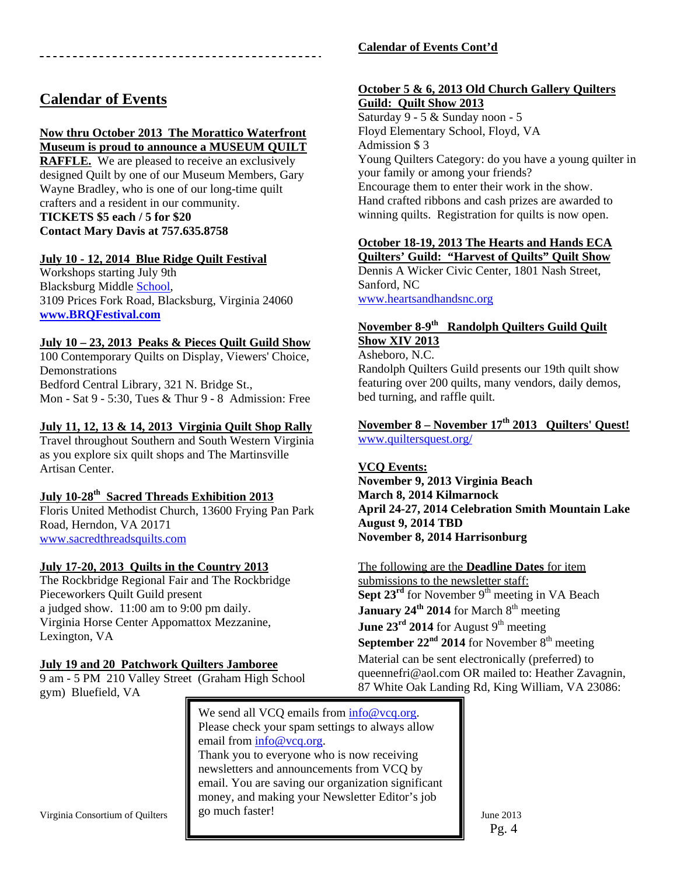### **Calendar of Events**

### **Now thru October 2013 The Morattico Waterfront**

**Museum is proud to announce a MUSEUM QUILT** 

**RAFFLE.** We are pleased to receive an exclusively designed Quilt by one of our Museum Members, Gary Wayne Bradley, who is one of our long-time quilt crafters and a resident in our community. **TICKETS \$5 each / 5 for \$20 Contact Mary Davis at 757.635.8758** 

### **July 10 - 12, 2014 Blue Ridge Quilt Festival**

Workshops starting July 9th Blacksburg Middle School, 3109 Prices Fork Road, Blacksburg, Virginia 24060 **www.BRQFestival.com**

### **July 10 – 23, 2013 Peaks & Pieces Quilt Guild Show**

100 Contemporary Quilts on Display, Viewers' Choice, Demonstrations Bedford Central Library, 321 N. Bridge St., Mon - Sat 9 - 5:30, Tues & Thur 9 - 8 Admission: Free

### **July 11, 12, 13 & 14, 2013 Virginia Quilt Shop Rally**

Travel throughout Southern and South Western Virginia as you explore six quilt shops and The Martinsville Artisan Center.

### **July 10-28th Sacred Threads Exhibition 2013**

Floris United Methodist Church, 13600 Frying Pan Park Road, Herndon, VA 20171 www.sacredthreadsquilts.com

### **July 17-20, 2013 Quilts in the Country 2013**

The Rockbridge Regional Fair and The Rockbridge Pieceworkers Quilt Guild present a judged show. 11:00 am to 9:00 pm daily. Virginia Horse Center Appomattox Mezzanine, Lexington, VA

### **July 19 and 20 Patchwork Quilters Jamboree**

9 am - 5 PM 210 Valley Street (Graham High School gym) Bluefield, VA

We send all VCQ emails from  $info@vcq.org$ . Please check your spam settings to always allow email from info@vcq.org. Thank you to everyone who is now receiving newsletters and announcements from VCQ by email. You are saving our organization significant money, and making your Newsletter Editor's job go much faster!

### **Calendar of Events Cont'd**

### **October 5 & 6, 2013 Old Church Gallery Quilters Guild: Quilt Show 2013**

Saturday 9 - 5 & Sunday noon - 5 Floyd Elementary School, Floyd, VA Admission \$ 3 Young Quilters Category: do you have a young quilter in your family or among your friends? Encourage them to enter their work in the show. Hand crafted ribbons and cash prizes are awarded to winning quilts. Registration for quilts is now open.

### **October 18-19, 2013 The Hearts and Hands ECA**

**Quilters' Guild: "Harvest of Quilts" Quilt Show**  Dennis A Wicker Civic Center, 1801 Nash Street, Sanford, NC www.heartsandhandsnc.org

### **November 8-9th Randolph Quilters Guild Quilt Show XIV 2013**

Asheboro, N.C.

Randolph Quilters Guild presents our 19th quilt show featuring over 200 quilts, many vendors, daily demos, bed turning, and raffle quilt.

### **November 8 – November 17th 2013 Quilters' Quest!**  www.quiltersquest.org/

### **VCQ Events:**

**November 9, 2013 Virginia Beach March 8, 2014 Kilmarnock April 24-27, 2014 Celebration Smith Mountain Lake August 9, 2014 TBD November 8, 2014 Harrisonburg** 

### The following are the **Deadline Dates** for item

submissions to the newsletter staff: Sept 23<sup>rd</sup> for November 9<sup>th</sup> meeting in VA Beach **January 24<sup>th</sup> 2014** for March 8<sup>th</sup> meeting June 23<sup>rd</sup> 2014 for August 9<sup>th</sup> meeting **September 22<sup>nd</sup> 2014** for November  $8<sup>th</sup>$  meeting Material can be sent electronically (preferred) to queennefri@aol.com OR mailed to: Heather Zavagnin, 87 White Oak Landing Rd, King William, VA 23086:

Virginia Consortium of Quilters  $\parallel$  20 much taster! June 2013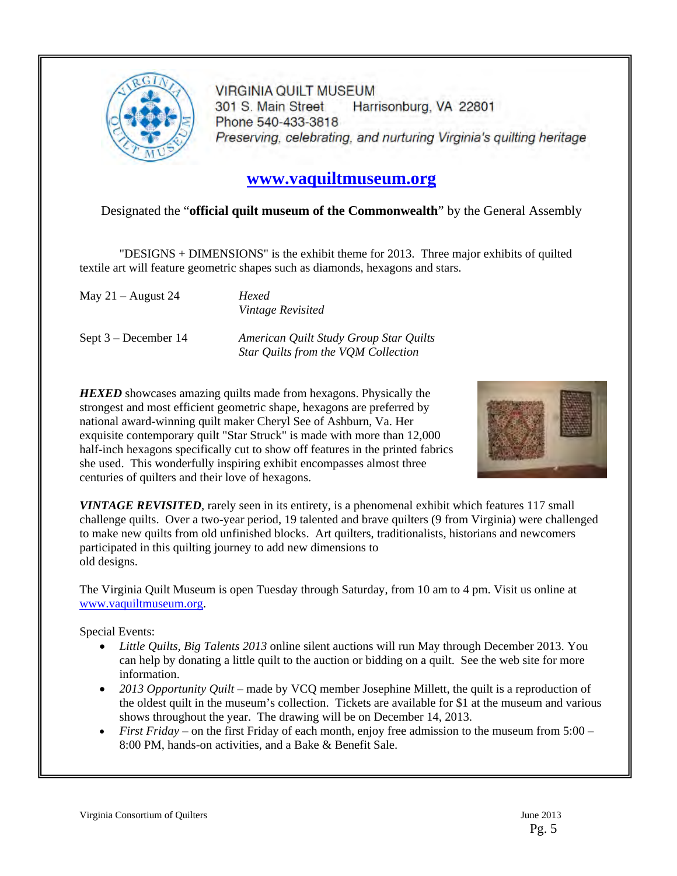

**VIRGINIA QUILT MUSEUM** 301 S. Main Street Harrisonburg, VA 22801 Phone 540-433-3818 Preserving, celebrating, and nurturing Virginia's quilting heritage

# **www.vaquiltmuseum.org**

### Designated the "**official quilt museum of the Commonwealth**" by the General Assembly

"DESIGNS + DIMENSIONS" is the exhibit theme for 2013. Three major exhibits of quilted textile art will feature geometric shapes such as diamonds, hexagons and stars.

May 21 – August 24 *Hexed* 

*Vintage Revisited* 

Sept 3 – December 14 *American Quilt Study Group Star Quilts Star Quilts from the VQM Collection* 

*HEXED* showcases amazing quilts made from hexagons. Physically the strongest and most efficient geometric shape, hexagons are preferred by national award-winning quilt maker Cheryl See of Ashburn, Va. Her exquisite contemporary quilt "Star Struck" is made with more than 12,000 half-inch hexagons specifically cut to show off features in the printed fabrics she used. This wonderfully inspiring exhibit encompasses almost three centuries of quilters and their love of hexagons.



*VINTAGE REVISITED*, rarely seen in its entirety, is a phenomenal exhibit which features 117 small challenge quilts. Over a two-year period, 19 talented and brave quilters (9 from Virginia) were challenged to make new quilts from old unfinished blocks. Art quilters, traditionalists, historians and newcomers participated in this quilting journey to add new dimensions to old designs.

The Virginia Quilt Museum is open Tuesday through Saturday, from 10 am to 4 pm. Visit us online at www.vaquiltmuseum.org.

Special Events:

- *Little Quilts, Big Talents 2013* online silent auctions will run May through December 2013. You can help by donating a little quilt to the auction or bidding on a quilt. See the web site for more information.
- *2013 Opportunity Quilt* made by VCQ member Josephine Millett, the quilt is a reproduction of the oldest quilt in the museum's collection. Tickets are available for \$1 at the museum and various shows throughout the year. The drawing will be on December 14, 2013.
- *First Friday* on the first Friday of each month, enjoy free admission to the museum from 5:00 8:00 PM, hands-on activities, and a Bake & Benefit Sale.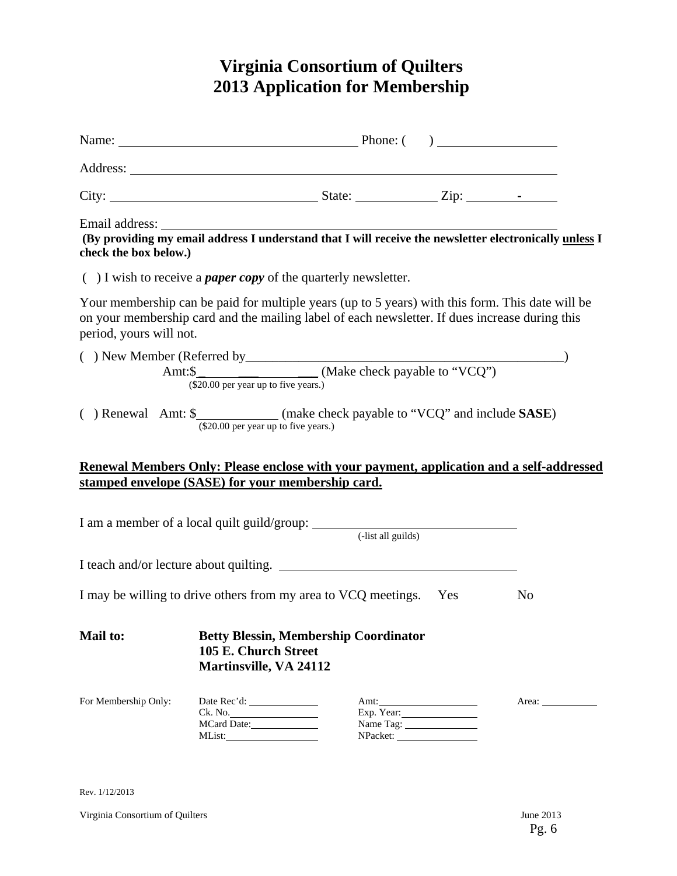# **Virginia Consortium of Quilters 2013 Application for Membership**

|                                                                                      | Name: <u>Name:</u> Phone: ()                                                                                                                                                                       |  |                                |            |
|--------------------------------------------------------------------------------------|----------------------------------------------------------------------------------------------------------------------------------------------------------------------------------------------------|--|--------------------------------|------------|
|                                                                                      |                                                                                                                                                                                                    |  |                                |            |
|                                                                                      |                                                                                                                                                                                                    |  |                                |            |
| check the box below.)                                                                |                                                                                                                                                                                                    |  |                                |            |
|                                                                                      | $( )$ I wish to receive a <i>paper copy</i> of the quarterly newsletter.                                                                                                                           |  |                                |            |
| period, yours will not.                                                              | Your membership can be paid for multiple years (up to 5 years) with this form. This date will be<br>on your membership card and the mailing label of each newsletter. If dues increase during this |  |                                |            |
|                                                                                      |                                                                                                                                                                                                    |  |                                |            |
|                                                                                      | () Renewal Amt: \$_____________(make check payable to "VCQ" and include SASE)<br>(\$20.00 per year up to five years.)                                                                              |  |                                |            |
|                                                                                      | Renewal Members Only: Please enclose with your payment, application and a self-addressed                                                                                                           |  |                                |            |
|                                                                                      | stamped envelope (SASE) for your membership card.                                                                                                                                                  |  |                                |            |
|                                                                                      |                                                                                                                                                                                                    |  |                                |            |
|                                                                                      | I teach and/or lecture about quilting.                                                                                                                                                             |  |                                |            |
| I may be willing to drive others from my area to VCQ meetings. Yes<br>N <sub>0</sub> |                                                                                                                                                                                                    |  |                                |            |
| <b>Mail to:</b>                                                                      | <b>Betty Blessin, Membership Coordinator</b><br>105 E. Church Street<br><b>Martinsville, VA 24112</b>                                                                                              |  |                                |            |
| For Membership Only:                                                                 | MList:                                                                                                                                                                                             |  | Amt:<br>Exp. Year:<br>NPacket: | Area: 1988 |

Rev. 1/12/2013

Virginia Consortium of Quilters June 2013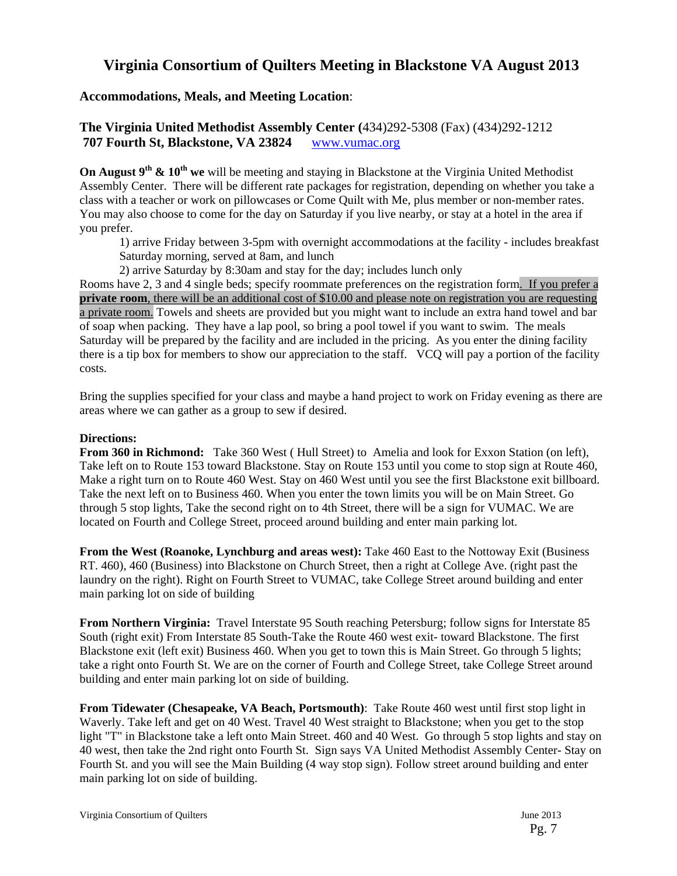### **Virginia Consortium of Quilters Meeting in Blackstone VA August 2013**

### **Accommodations, Meals, and Meeting Location**:

### **The Virginia United Methodist Assembly Center (**434)292-5308 (Fax) (434)292-1212  **707 Fourth St, Blackstone, VA 23824** www.vumac.org

**On August 9<sup>th</sup> & 10<sup>th</sup> we** will be meeting and staying in Blackstone at the Virginia United Methodist Assembly Center. There will be different rate packages for registration, depending on whether you take a class with a teacher or work on pillowcases or Come Quilt with Me, plus member or non-member rates. You may also choose to come for the day on Saturday if you live nearby, or stay at a hotel in the area if you prefer.

1) arrive Friday between 3-5pm with overnight accommodations at the facility - includes breakfast Saturday morning, served at 8am, and lunch

2) arrive Saturday by 8:30am and stay for the day; includes lunch only

Rooms have 2, 3 and 4 single beds; specify roommate preferences on the registration form. If you prefer a **private room**, there will be an additional cost of \$10.00 and please note on registration you are requesting a private room. Towels and sheets are provided but you might want to include an extra hand towel and bar of soap when packing. They have a lap pool, so bring a pool towel if you want to swim. The meals Saturday will be prepared by the facility and are included in the pricing. As you enter the dining facility there is a tip box for members to show our appreciation to the staff. VCQ will pay a portion of the facility costs.

Bring the supplies specified for your class and maybe a hand project to work on Friday evening as there are areas where we can gather as a group to sew if desired.

### **Directions:**

**From 360 in Richmond:** Take 360 West ( Hull Street) to Amelia and look for Exxon Station (on left), Take left on to Route 153 toward Blackstone. Stay on Route 153 until you come to stop sign at Route 460, Make a right turn on to Route 460 West. Stay on 460 West until you see the first Blackstone exit billboard. Take the next left on to Business 460. When you enter the town limits you will be on Main Street. Go through 5 stop lights, Take the second right on to 4th Street, there will be a sign for VUMAC. We are located on Fourth and College Street, proceed around building and enter main parking lot.

**From the West (Roanoke, Lynchburg and areas west):** Take 460 East to the Nottoway Exit (Business RT. 460), 460 (Business) into Blackstone on Church Street, then a right at College Ave. (right past the laundry on the right). Right on Fourth Street to VUMAC, take College Street around building and enter main parking lot on side of building

**From Northern Virginia:** Travel Interstate 95 South reaching Petersburg; follow signs for Interstate 85 South (right exit) From Interstate 85 South-Take the Route 460 west exit- toward Blackstone. The first Blackstone exit (left exit) Business 460. When you get to town this is Main Street. Go through 5 lights; take a right onto Fourth St. We are on the corner of Fourth and College Street, take College Street around building and enter main parking lot on side of building.

**From Tidewater (Chesapeake, VA Beach, Portsmouth)**: Take Route 460 west until first stop light in Waverly. Take left and get on 40 West. Travel 40 West straight to Blackstone; when you get to the stop light "T" in Blackstone take a left onto Main Street. 460 and 40 West. Go through 5 stop lights and stay on 40 west, then take the 2nd right onto Fourth St. Sign says VA United Methodist Assembly Center- Stay on Fourth St. and you will see the Main Building (4 way stop sign). Follow street around building and enter main parking lot on side of building.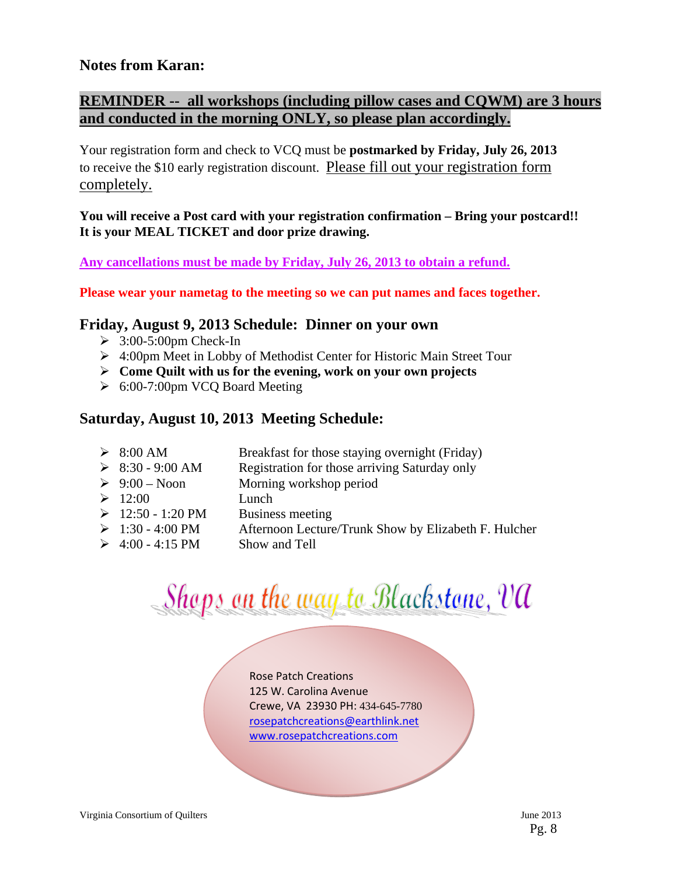### **Notes from Karan:**

### **REMINDER -- all workshops (including pillow cases and CQWM) are 3 hours and conducted in the morning ONLY, so please plan accordingly.**

Your registration form and check to VCQ must be **postmarked by Friday, July 26, 2013**  to receive the \$10 early registration discount. Please fill out your registration form completely.

### **You will receive a Post card with your registration confirmation – Bring your postcard!! It is your MEAL TICKET and door prize drawing.**

**Any cancellations must be made by Friday, July 26, 2013 to obtain a refund.** 

**Please wear your nametag to the meeting so we can put names and faces together.** 

### **Friday, August 9, 2013 Schedule: Dinner on your own**

- $\geq$  3:00-5:00pm Check-In
- 4:00pm Meet in Lobby of Methodist Center for Historic Main Street Tour
- **Come Quilt with us for the evening, work on your own projects**
- 6:00-7:00pm VCQ Board Meeting

### **Saturday, August 10, 2013 Meeting Schedule:**

| $\triangleright$ 8:00 AM        | Breakfast for those staying overnight (Friday)       |
|---------------------------------|------------------------------------------------------|
| $\triangleright$ 8:30 - 9:00 AM | Registration for those arriving Saturday only        |
| $\triangleright$ 9:00 – Noon    | Morning workshop period                              |
| $\geq 12:00$                    | Lunch                                                |
| $\geq 12:50 - 1:20 \text{ PM}$  | Business meeting                                     |
| $\geq 1:30 - 4:00 \text{ PM}$   | Afternoon Lecture/Trunk Show by Elizabeth F. Hulcher |
| $\geq 4:00 - 4:15 \text{ PM}$   | Show and Tell                                        |

# Shops on the way to Blackstone, VA

Rose Patch Creations 125 W. Carolina Avenue Crewe, VA 23930 PH: 434-645-7780 rosepatchcreations@earthlink.net www.rosepatchcreations.com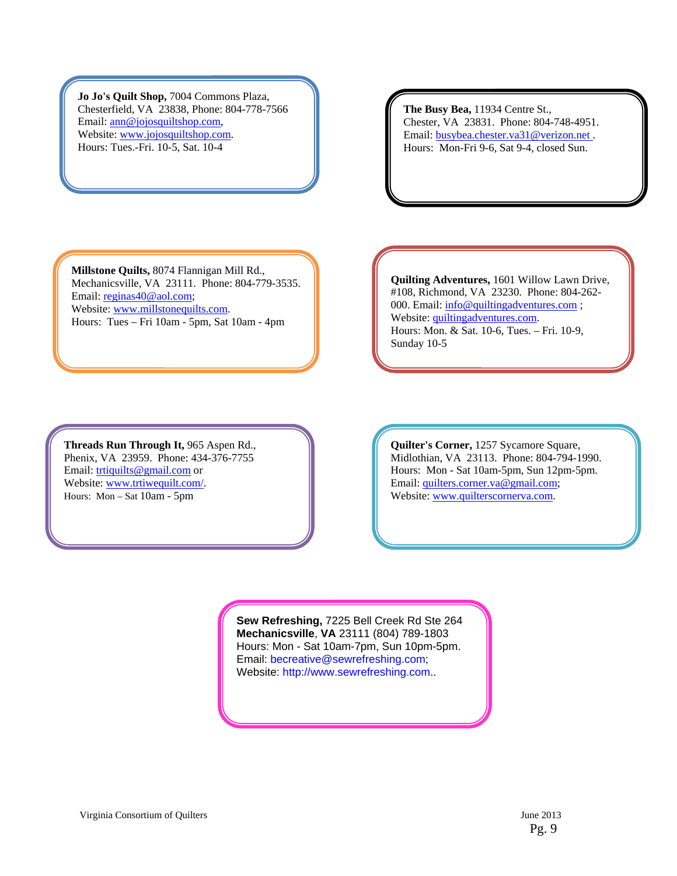**Jo Jo's Quilt Shop,** 7004 Commons Plaza, Chesterfield, VA 23838, Phone: 804-778-7566 Email: ann@jojosquiltshop.com, Website: www.jojosquiltshop.com. Hours: Tues.-Fri. 10-5, Sat. 10-4

**The Busy Bea,** 11934 Centre St., Chester, VA 23831. Phone: 804-748-4951. Email: busybea.chester.va31@verizon.net . Hours: Mon-Fri 9-6, Sat 9-4, closed Sun.

**Millstone Quilts,** 8074 Flannigan Mill Rd., Mechanicsville, VA 23111. Phone: 804-779-3535. Email: reginas40@aol.com; Website: www.millstonequilts.com. Hours: Tues – Fri 10am - 5pm, Sat 10am - 4pm

**Threads Run Through It,** 965 Aspen Rd., Phenix, VA 23959. Phone: 434-376-7755 Email: trtiquilts@gmail.com or Website: www.trtiwequilt.com/. Hours: Mon – Sat 10am - 5pm

**Quilting Adventures,** 1601 Willow Lawn Drive, #108, Richmond, VA 23230. Phone: 804-262- 000. Email:  $\frac{info@quiltingadventures.com}{info@quiltingadventures.com}$ ; Website: quiltingadventures.com. Hours: Mon. & Sat. 10-6, Tues. – Fri. 10-9, Sunday 10-5

**Quilter's Corner,** 1257 Sycamore Square, Midlothian, VA 23113. Phone: 804-794-1990. Hours: Mon - Sat 10am-5pm, Sun 12pm-5pm. Email: quilters.corner.va@gmail.com; Website: www.quilterscornerva.com.

**Sew Refreshing,** 7225 Bell Creek Rd Ste 264 **Mechanicsville**, **VA** 23111 (804) 789-1803 Hours: Mon - Sat 10am-7pm, Sun 10pm-5pm. Email: becreative@sewrefreshing.com; Website: http://www.sewrefreshing.com..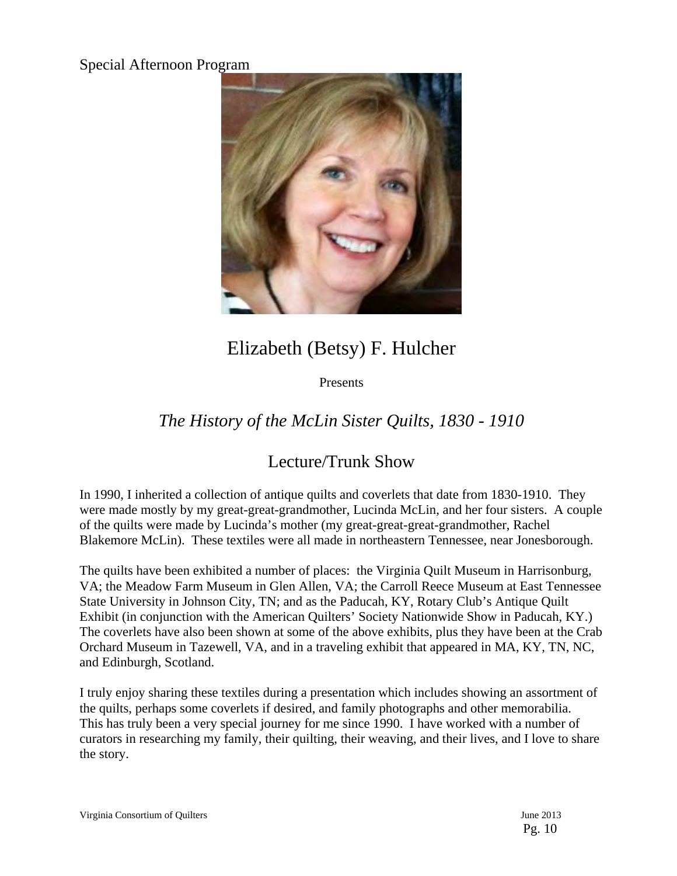### Special Afternoon Program



# Elizabeth (Betsy) F. Hulcher

Presents

## *The History of the McLin Sister Quilts, 1830 - 1910*

### Lecture/Trunk Show

In 1990, I inherited a collection of antique quilts and coverlets that date from 1830-1910. They were made mostly by my great-great-grandmother, Lucinda McLin, and her four sisters. A couple of the quilts were made by Lucinda's mother (my great-great-great-grandmother, Rachel Blakemore McLin). These textiles were all made in northeastern Tennessee, near Jonesborough.

The quilts have been exhibited a number of places: the Virginia Quilt Museum in Harrisonburg, VA; the Meadow Farm Museum in Glen Allen, VA; the Carroll Reece Museum at East Tennessee State University in Johnson City, TN; and as the Paducah, KY, Rotary Club's Antique Quilt Exhibit (in conjunction with the American Quilters' Society Nationwide Show in Paducah, KY.) The coverlets have also been shown at some of the above exhibits, plus they have been at the Crab Orchard Museum in Tazewell, VA, and in a traveling exhibit that appeared in MA, KY, TN, NC, and Edinburgh, Scotland.

I truly enjoy sharing these textiles during a presentation which includes showing an assortment of the quilts, perhaps some coverlets if desired, and family photographs and other memorabilia. This has truly been a very special journey for me since 1990. I have worked with a number of curators in researching my family, their quilting, their weaving, and their lives, and I love to share the story.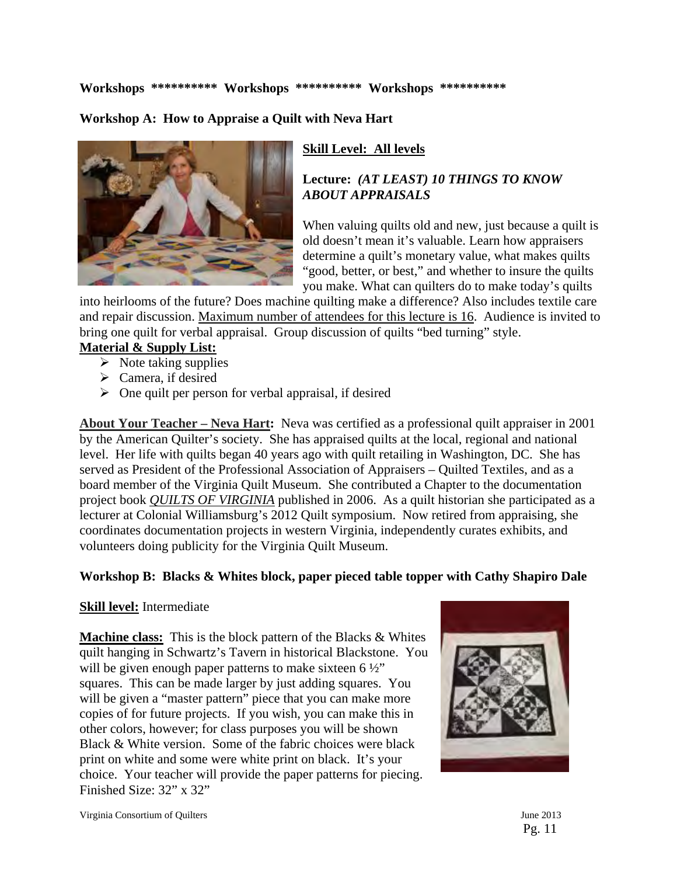**Workshops \*\*\*\*\*\*\*\*\*\* Workshops \*\*\*\*\*\*\*\*\*\* Workshops \*\*\*\*\*\*\*\*\*\*** 

**Workshop A: How to Appraise a Quilt with Neva Hart** 



### **Skill Level: All levels**

### **Lecture:** *(AT LEAST) 10 THINGS TO KNOW ABOUT APPRAISALS*

When valuing quilts old and new, just because a quilt is old doesn't mean it's valuable. Learn how appraisers determine a quilt's monetary value, what makes quilts "good, better, or best," and whether to insure the quilts you make. What can quilters do to make today's quilts

into heirlooms of the future? Does machine quilting make a difference? Also includes textile care and repair discussion. Maximum number of attendees for this lecture is 16. Audience is invited to bring one quilt for verbal appraisal. Group discussion of quilts "bed turning" style.

### **Material & Supply List:**

- $\triangleright$  Note taking supplies
- $\triangleright$  Camera, if desired
- $\triangleright$  One quilt per person for verbal appraisal, if desired

**About Your Teacher – Neva Hart:** Neva was certified as a professional quilt appraiser in 2001 by the American Quilter's society. She has appraised quilts at the local, regional and national level. Her life with quilts began 40 years ago with quilt retailing in Washington, DC. She has served as President of the Professional Association of Appraisers – Quilted Textiles, and as a board member of the Virginia Quilt Museum. She contributed a Chapter to the documentation project book *QUILTS OF VIRGINIA* published in 2006. As a quilt historian she participated as a lecturer at Colonial Williamsburg's 2012 Quilt symposium. Now retired from appraising, she coordinates documentation projects in western Virginia, independently curates exhibits, and volunteers doing publicity for the Virginia Quilt Museum.

### **Workshop B: Blacks & Whites block, paper pieced table topper with Cathy Shapiro Dale**

### **Skill level:** Intermediate

**Machine class:** This is the block pattern of the Blacks & Whites quilt hanging in Schwartz's Tavern in historical Blackstone. You will be given enough paper patterns to make sixteen  $6\frac{1}{2}$ " squares. This can be made larger by just adding squares. You will be given a "master pattern" piece that you can make more copies of for future projects. If you wish, you can make this in other colors, however; for class purposes you will be shown Black & White version. Some of the fabric choices were black print on white and some were white print on black. It's your choice. Your teacher will provide the paper patterns for piecing. Finished Size: 32" x 32"

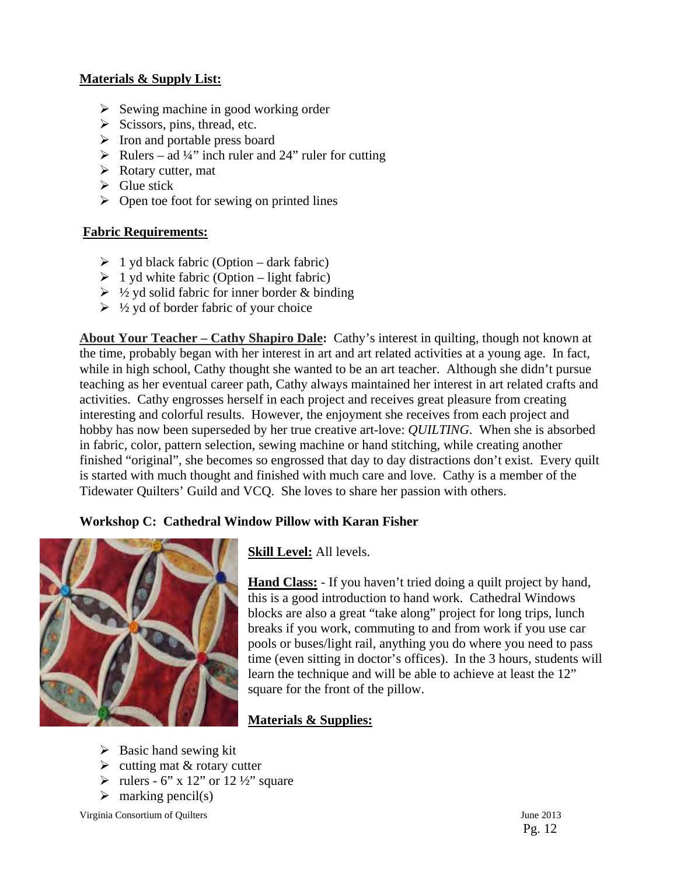### **Materials & Supply List:**

- $\triangleright$  Sewing machine in good working order
- $\triangleright$  Scissors, pins, thread, etc.
- $\triangleright$  Iron and portable press board
- $\triangleright$  Rulers ad ¼" inch ruler and 24" ruler for cutting
- $\triangleright$  Rotary cutter, mat
- $\triangleright$  Glue stick
- $\triangleright$  Open toe foot for sewing on printed lines

### **Fabric Requirements:**

- $\geq 1$  yd black fabric (Option dark fabric)
- $\geq 1$  yd white fabric (Option light fabric)
- $\triangleright$  1/2 yd solid fabric for inner border & binding
- $\triangleright$  1/2 yd of border fabric of your choice

**About Your Teacher – Cathy Shapiro Dale:** Cathy's interest in quilting, though not known at the time, probably began with her interest in art and art related activities at a young age. In fact, while in high school, Cathy thought she wanted to be an art teacher. Although she didn't pursue teaching as her eventual career path, Cathy always maintained her interest in art related crafts and activities. Cathy engrosses herself in each project and receives great pleasure from creating interesting and colorful results. However, the enjoyment she receives from each project and hobby has now been superseded by her true creative art-love: *QUILTING*. When she is absorbed in fabric, color, pattern selection, sewing machine or hand stitching, while creating another finished "original", she becomes so engrossed that day to day distractions don't exist. Every quilt is started with much thought and finished with much care and love. Cathy is a member of the Tidewater Quilters' Guild and VCQ. She loves to share her passion with others.

### **Workshop C: Cathedral Window Pillow with Karan Fisher**



**Skill Level:** All levels.

**Hand Class:** - If you haven't tried doing a quilt project by hand, this is a good introduction to hand work. Cathedral Windows blocks are also a great "take along" project for long trips, lunch breaks if you work, commuting to and from work if you use car pools or buses/light rail, anything you do where you need to pass time (even sitting in doctor's offices). In the 3 hours, students will learn the technique and will be able to achieve at least the 12" square for the front of the pillow.

### **Materials & Supplies:**

- $\triangleright$  Basic hand sewing kit
- $\triangleright$  cutting mat & rotary cutter
- $\triangleright$  rulers 6" x 12" or 12 ½" square
- $\triangleright$  marking pencil(s)

Virginia Consortium of Quilters June 2013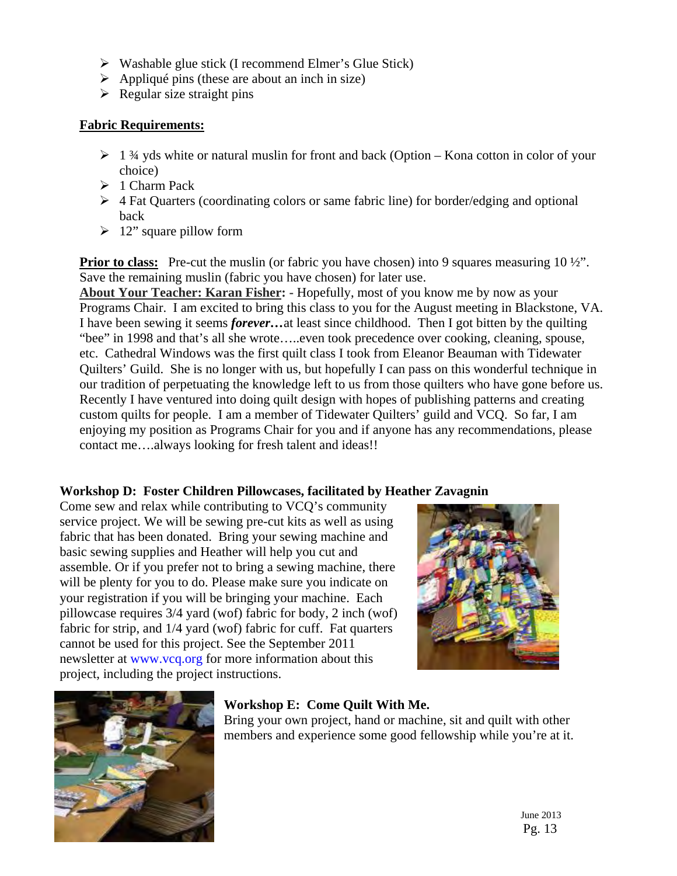- $\triangleright$  Washable glue stick (I recommend Elmer's Glue Stick)
- $\triangleright$  Appliqué pins (these are about an inch in size)
- $\triangleright$  Regular size straight pins

### **Fabric Requirements:**

- $\geq 1$  3/4 yds white or natural muslin for front and back (Option Kona cotton in color of your choice)
- $\geq 1$  Charm Pack
- $\triangleright$  4 Fat Quarters (coordinating colors or same fabric line) for border/edging and optional back
- $\geq 12$ " square pillow form

**Prior to class:** Pre-cut the muslin (or fabric you have chosen) into 9 squares measuring 10 ½". Save the remaining muslin (fabric you have chosen) for later use.

**About Your Teacher: Karan Fisher: -** Hopefully, most of you know me by now as your Programs Chair. I am excited to bring this class to you for the August meeting in Blackstone, VA. I have been sewing it seems *forever…*at least since childhood. Then I got bitten by the quilting "bee" in 1998 and that's all she wrote…..even took precedence over cooking, cleaning, spouse, etc. Cathedral Windows was the first quilt class I took from Eleanor Beauman with Tidewater Quilters' Guild. She is no longer with us, but hopefully I can pass on this wonderful technique in our tradition of perpetuating the knowledge left to us from those quilters who have gone before us. Recently I have ventured into doing quilt design with hopes of publishing patterns and creating custom quilts for people. I am a member of Tidewater Quilters' guild and VCQ. So far, I am enjoying my position as Programs Chair for you and if anyone has any recommendations, please contact me….always looking for fresh talent and ideas!!

### **Workshop D: Foster Children Pillowcases, facilitated by Heather Zavagnin**

Come sew and relax while contributing to VCQ's community service project. We will be sewing pre-cut kits as well as using fabric that has been donated. Bring your sewing machine and basic sewing supplies and Heather will help you cut and assemble. Or if you prefer not to bring a sewing machine, there will be plenty for you to do. Please make sure you indicate on your registration if you will be bringing your machine. Each pillowcase requires 3/4 yard (wof) fabric for body, 2 inch (wof) fabric for strip, and 1/4 yard (wof) fabric for cuff. Fat quarters cannot be used for this project. See the September 2011 newsletter at www.vcq.org for more information about this project, including the project instructions.





### **Workshop E: Come Quilt With Me.**

Bring your own project, hand or machine, sit and quilt with other members and experience some good fellowship while you're at it.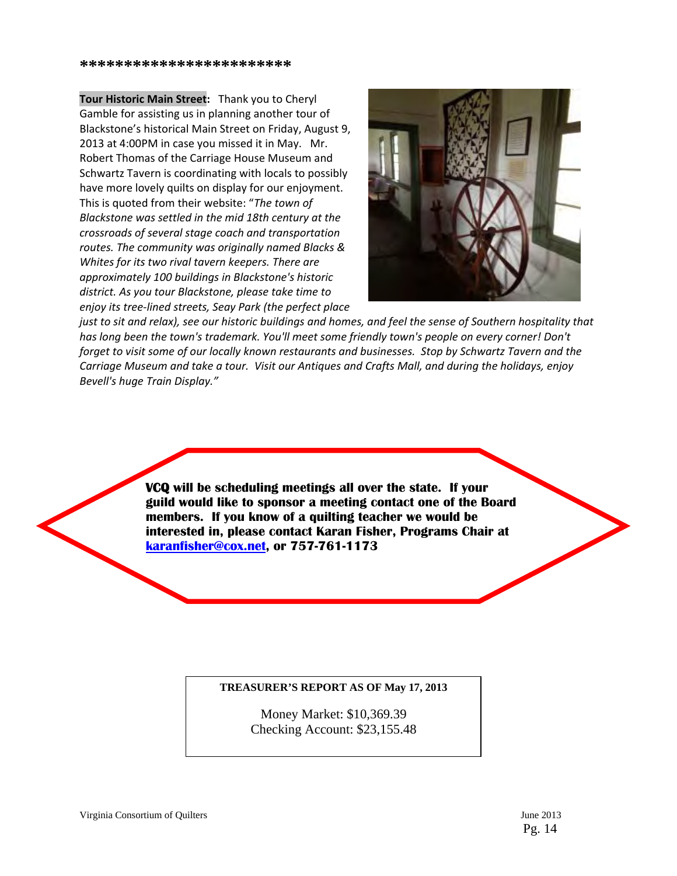**Tour Historic Main Street:** Thank you to Cheryl Gamble for assisting us in planning another tour of Blackstone's historical Main Street on Friday, August 9, 2013 at 4:00PM in case you missed it in May. Mr. Robert Thomas of the Carriage House Museum and Schwartz Tavern is coordinating with locals to possibly have more lovely quilts on display for our enjoyment. This is quoted from their website: "*The town of Blackstone was settled in the mid 18th century at the crossroads of several stage coach and transportation routes. The community was originally named Blacks & Whites for its two rival tavern keepers. There are approximately 100 buildings in Blackstone's historic district. As you tour Blackstone, please take time to enjoy its tree‐lined streets, Seay Park (the perfect place*



just to sit and relax), see our historic buildings and homes, and feel the sense of Southern hospitality that *has long been the town's trademark. You'll meet some friendly town's people on every corner! Don't* forget to visit some of our locally known restaurants and businesses. Stop by Schwartz Tavern and the Carriage Museum and take a tour. Visit our Antiques and Crafts Mall, and during the holidays, enjoy *Bevell's huge Train Display."*

> **VCQ will be scheduling meetings all over the state. If your guild would like to sponsor a meeting contact one of the Board members. If you know of a quilting teacher we would be interested in, please contact Karan Fisher, Programs Chair at karanfisher@cox.net, or 757-761-1173**

#### **TREASURER'S REPORT AS OF May 17, 2013**

Money Market: \$10,369.39 Checking Account: \$23,155.48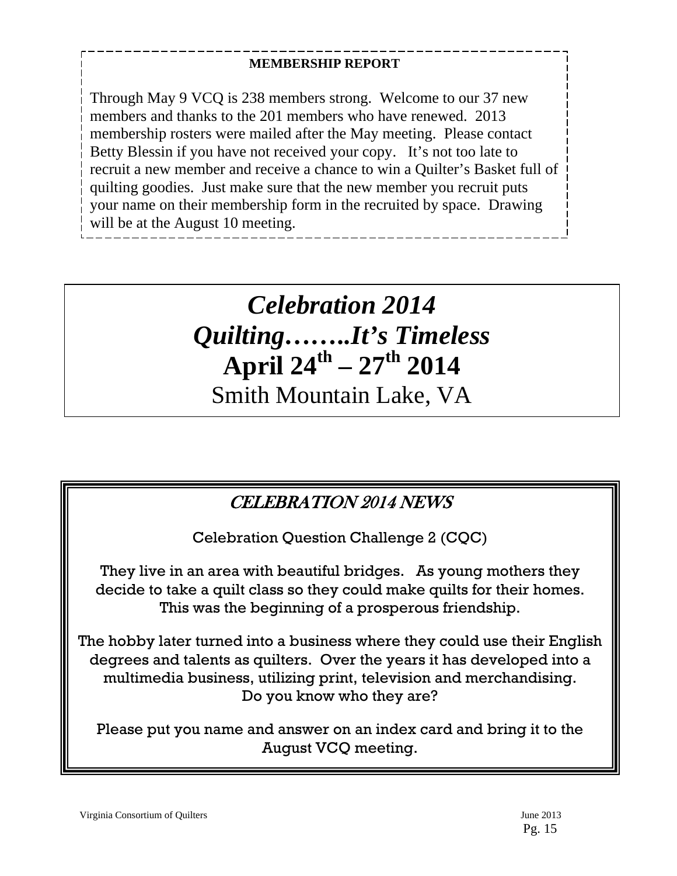### **MEMBERSHIP REPORT**

Through May 9 VCQ is 238 members strong. Welcome to our 37 new members and thanks to the 201 members who have renewed. 2013 membership rosters were mailed after the May meeting. Please contact Betty Blessin if you have not received your copy. It's not too late to recruit a new member and receive a chance to win a Quilter's Basket full of quilting goodies. Just make sure that the new member you recruit puts your name on their membership form in the recruited by space. Drawing will be at the August 10 meeting.

# *Celebration 2014 Quilting……..It's Timeless*  **April 24th – 27th 2014**

Smith Mountain Lake, VA

# CELEBRATION 2014 NEWS

Celebration Question Challenge 2 (CQC)

They live in an area with beautiful bridges. As young mothers they decide to take a quilt class so they could make quilts for their homes. This was the beginning of a prosperous friendship.

The hobby later turned into a business where they could use their English degrees and talents as quilters. Over the years it has developed into a multimedia business, utilizing print, television and merchandising. Do you know who they are?

Please put you name and answer on an index card and bring it to the August VCQ meeting.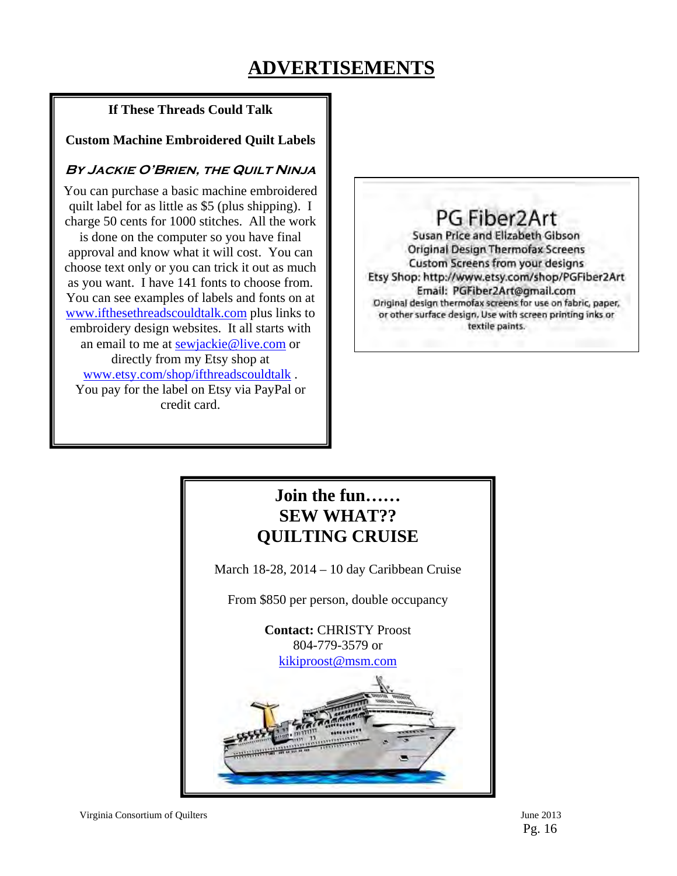# **ADVERTISEMENTS**

### **If These Threads Could Talk**

### **Custom Machine Embroidered Quilt Labels**

### **By Jackie O'Brien, the Quilt Ninja**

You can purchase a basic machine embroidered quilt label for as little as \$5 (plus shipping). I charge 50 cents for 1000 stitches. All the work

is done on the computer so you have final approval and know what it will cost. You can choose text only or you can trick it out as much as you want. I have 141 fonts to choose from. You can see examples of labels and fonts on at www.ifthesethreadscouldtalk.com plus links to embroidery design websites. It all starts with an email to me at sewjackie@live.com or directly from my Etsy shop at www.etsy.com/shop/ifthreadscouldtalk . You pay for the label on Etsy via PayPal or credit card.

PG Fiber2Art Susan Price and Elizabeth Gibson **Original Design Thermofax Screens** Custom Screens from your designs Etsy Shop: http://www.etsy.com/shop/PGFiber2Art Email: PGFiber2Art@gmail.com Original design thermofax screens for use on fabric, paper, or other surface design. Use with screen printing inks or textile paints.

### **Join the fun…… SEW WHAT?? QUILTING CRUISE**

March 18-28, 2014 – 10 day Caribbean Cruise

From \$850 per person, double occupancy

**Contact:** CHRISTY Proost 804-779-3579 or kikiproost@msm.com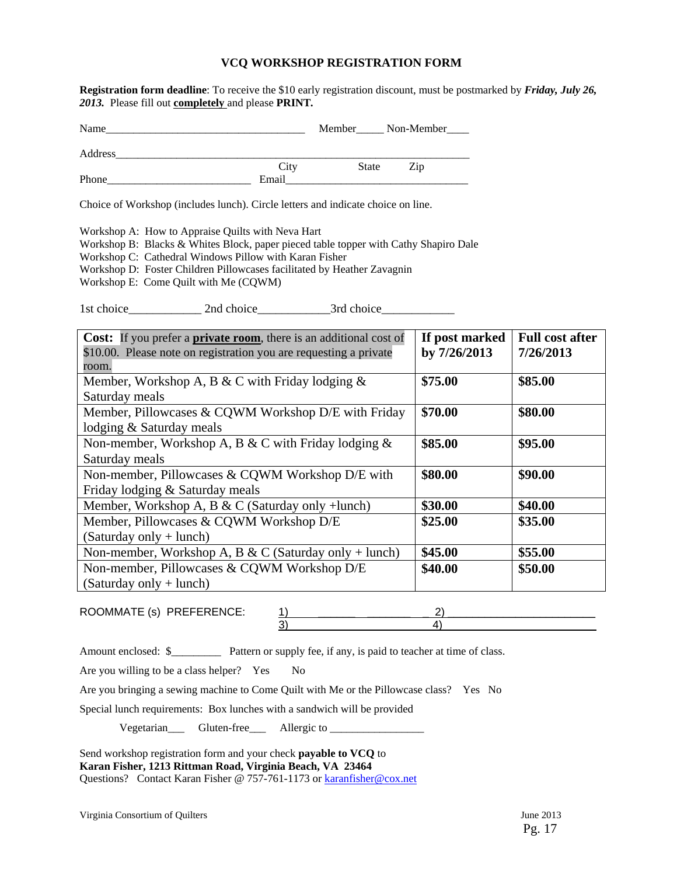### **VCQ WORKSHOP REGISTRATION FORM**

**Registration form deadline**: To receive the \$10 early registration discount, must be postmarked by *Friday, July 26, 2013.* Please fill out **completely** and please **PRINT***.* 

| Name    |       | Member       | Non-Member |
|---------|-------|--------------|------------|
| Address |       |              |            |
|         | City  | <b>State</b> | Zip        |
| Phone   | Email |              |            |

Choice of Workshop (includes lunch). Circle letters and indicate choice on line.

Workshop A: How to Appraise Quilts with Neva Hart

Workshop B: Blacks & Whites Block, paper pieced table topper with Cathy Shapiro Dale

Workshop C: Cathedral Windows Pillow with Karan Fisher

Workshop D: Foster Children Pillowcases facilitated by Heather Zavagnin

Workshop E: Come Quilt with Me (CQWM)

1st choice\_\_\_\_\_\_\_\_\_\_\_\_ 2nd choice\_\_\_\_\_\_\_\_\_\_\_\_3rd choice\_\_\_\_\_\_\_\_\_\_\_\_

| <b>Cost:</b> If you prefer a <b>private room</b> , there is an additional cost of | If post marked | <b>Full cost after</b> |
|-----------------------------------------------------------------------------------|----------------|------------------------|
| \$10.00. Please note on registration you are requesting a private                 | by 7/26/2013   | 7/26/2013              |
| room.                                                                             |                |                        |
| Member, Workshop A, B & C with Friday lodging $\&$                                | \$75.00        | \$85.00                |
| Saturday meals                                                                    |                |                        |
| Member, Pillowcases & CQWM Workshop D/E with Friday                               | \$70.00        | \$80.00                |
| lodging & Saturday meals                                                          |                |                        |
| Non-member, Workshop A, B & C with Friday lodging $\&$                            | \$85.00        | \$95.00                |
| Saturday meals                                                                    |                |                        |
| Non-member, Pillowcases & CQWM Workshop D/E with                                  | \$80.00        | \$90.00                |
| Friday lodging & Saturday meals                                                   |                |                        |
| Member, Workshop A, B & C (Saturday only +lunch)                                  | \$30.00        | \$40.00                |
| Member, Pillowcases & CQWM Workshop D/E                                           | \$25.00        | \$35.00                |
| $(Saturday only + lunch)$                                                         |                |                        |
| Non-member, Workshop A, B & C (Saturday only + lunch)                             | \$45.00        | \$55.00                |
| Non-member, Pillowcases & CQWM Workshop D/E                                       | \$40.00        | \$50.00                |
| $(Saturday only + lunch)$                                                         |                |                        |

ROOMMATE (s) PREFERENCE: 1) \_\_\_\_\_\_ \_\_\_\_\_\_\_ \_ 2) \_\_\_\_\_\_\_\_\_\_\_\_\_\_\_\_\_\_\_\_\_\_\_\_  $3)$   $4)$ 

Amount enclosed: \$\_\_\_\_\_\_\_\_\_\_\_ Pattern or supply fee, if any, is paid to teacher at time of class.

Are you willing to be a class helper? Yes No

Are you bringing a sewing machine to Come Quilt with Me or the Pillowcase class? Yes No

Special lunch requirements: Box lunches with a sandwich will be provided

Vegetarian\_\_\_ Gluten-free\_\_\_ Allergic to \_\_\_\_\_\_\_\_\_\_\_\_\_\_\_\_\_

Send workshop registration form and your check **payable to VCQ** to **Karan Fisher, 1213 Rittman Road, Virginia Beach, VA 23464**  Questions? Contact Karan Fisher @ 757-761-1173 or karanfisher@cox.net